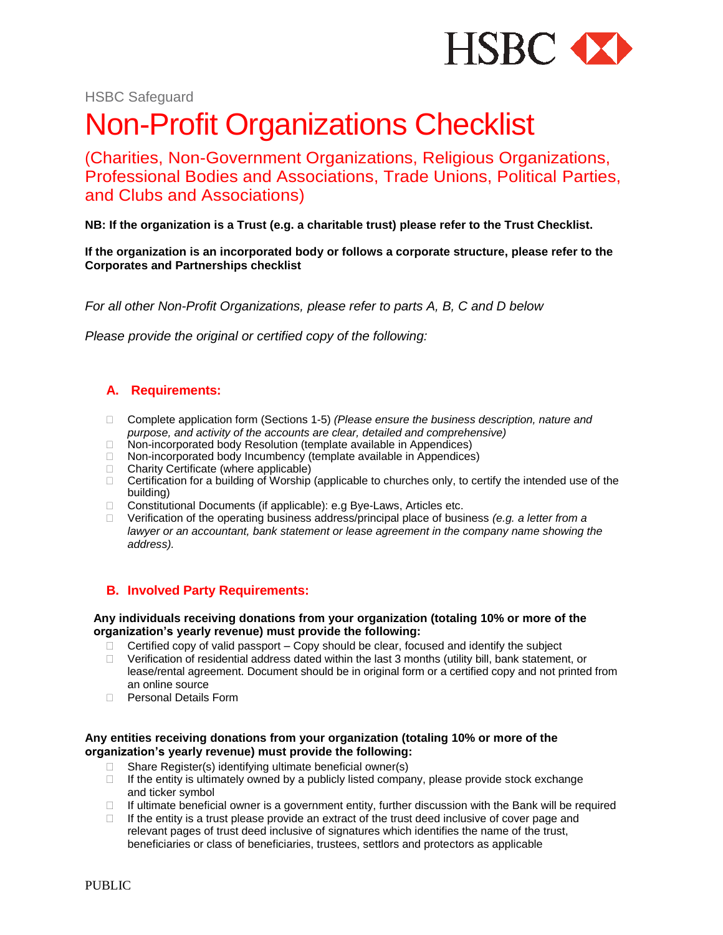

HSBC Safeguard

# Non-Profit Organizations Checklist

(Charities, Non-Government Organizations, Religious Organizations, Professional Bodies and Associations, Trade Unions, Political Parties, and Clubs and Associations)

**NB: If the organization is a Trust (e.g. a charitable trust) please refer to the Trust Checklist.**

**If the organization is an incorporated body or follows a corporate structure, please refer to the Corporates and Partnerships checklist**

*For all other Non-Profit Organizations, please refer to parts A, B, C and D below*

*Please provide the original or certified copy of the following:*

## **A. Requirements:**

- □ Complete application form (Sections 1-5) *(Please ensure the business description, nature and purpose, and activity of the accounts are clear, detailed and comprehensive)*
- □ Non-incorporated body Resolution (template available in Appendices)
- □ Non-incorporated body Incumbency (template available in Appendices)
- □ Charity Certificate (where applicable)
- □ Certification for a building of Worship (applicable to churches only, to certify the intended use of the building)
- □ Constitutional Documents (if applicable): e.g Bye-Laws, Articles etc.
- Verification of the operating business address/principal place of business *(e.g. a letter from a lawyer or an accountant, bank statement or lease agreement in the company name showing the address).*

## **B. Involved Party Requirements:**

#### **Any individuals receiving donations from your organization (totaling 10% or more of the organization's yearly revenue) must provide the following:**

- $\Box$  Certified copy of valid passport Copy should be clear, focused and identify the subject
- $\Box$  Verification of residential address dated within the last 3 months (utility bill, bank statement, or lease/rental agreement. Document should be in original form or a certified copy and not printed from an online source
- □ Personal Details Form

#### **Any entities receiving donations from your organization (totaling 10% or more of the organization's yearly revenue) must provide the following:**

- $\Box$  Share Register(s) identifying ultimate beneficial owner(s)
- $\Box$  If the entity is ultimately owned by a publicly listed company, please provide stock exchange and ticker symbol
- $\Box$  If ultimate beneficial owner is a government entity, further discussion with the Bank will be required
- $\Box$  If the entity is a trust please provide an extract of the trust deed inclusive of cover page and relevant pages of trust deed inclusive of signatures which identifies the name of the trust, beneficiaries or class of beneficiaries, trustees, settlors and protectors as applicable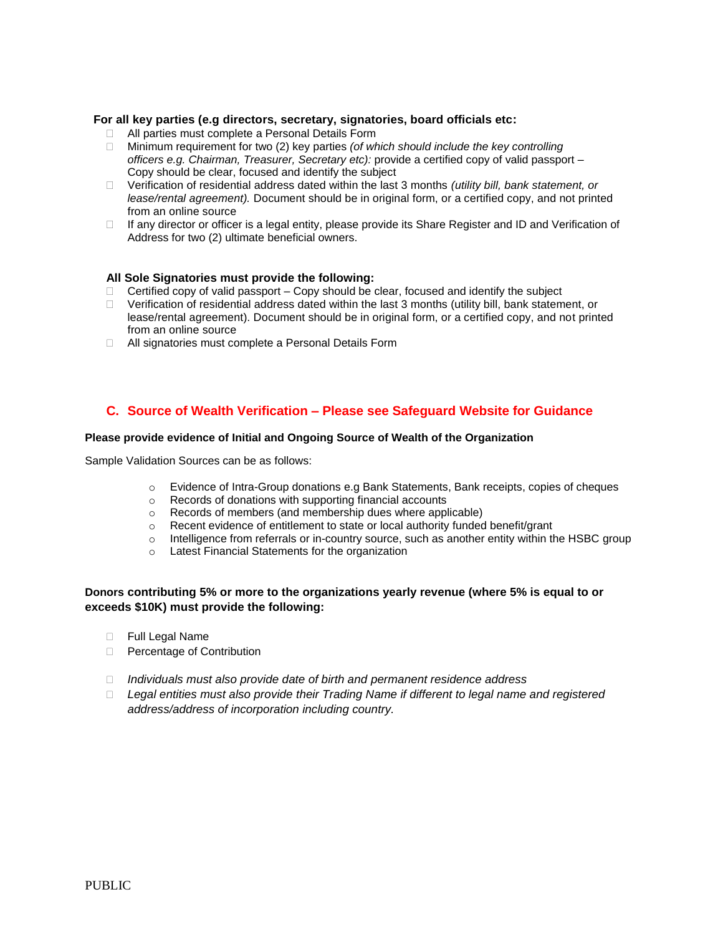#### **For all key parties (e.g directors, secretary, signatories, board officials etc:**

- □ All parties must complete a Personal Details Form
- Minimum requirement for two (2) key parties *(of which should include the key controlling officers e.g. Chairman, Treasurer, Secretary etc):* provide a certified copy of valid passport – Copy should be clear, focused and identify the subject
- Verification of residential address dated within the last 3 months *(utility bill, bank statement, or lease/rental agreement).* Document should be in original form, or a certified copy, and not printed from an online source
- $\Box$  If any director or officer is a legal entity, please provide its Share Register and ID and Verification of Address for two (2) ultimate beneficial owners.

#### **All Sole Signatories must provide the following:**

- $\Box$  Certified copy of valid passport Copy should be clear, focused and identify the subject
- $\Box$  Verification of residential address dated within the last 3 months (utility bill, bank statement, or lease/rental agreement). Document should be in original form, or a certified copy, and not printed from an online source
- □ All signatories must complete a Personal Details Form

## **C. Source of Wealth Verification – Please see Safeguard Website for Guidance**

#### **Please provide evidence of Initial and Ongoing Source of Wealth of the Organization**

Sample Validation Sources can be as follows:

- o Evidence of Intra-Group donations e.g Bank Statements, Bank receipts, copies of cheques
- o Records of donations with supporting financial accounts
- o Records of members (and membership dues where applicable)
- o Recent evidence of entitlement to state or local authority funded benefit/grant
- o Intelligence from referrals or in-country source, such as another entity within the HSBC group
- o Latest Financial Statements for the organization

### **Donors contributing 5% or more to the organizations yearly revenue (where 5% is equal to or exceeds \$10K) must provide the following:**

- **Full Legal Name**
- □ Percentage of Contribution
- *Individuals must also provide date of birth and permanent residence address*
- *Legal entities must also provide their Trading Name if different to legal name and registered address/address of incorporation including country.*